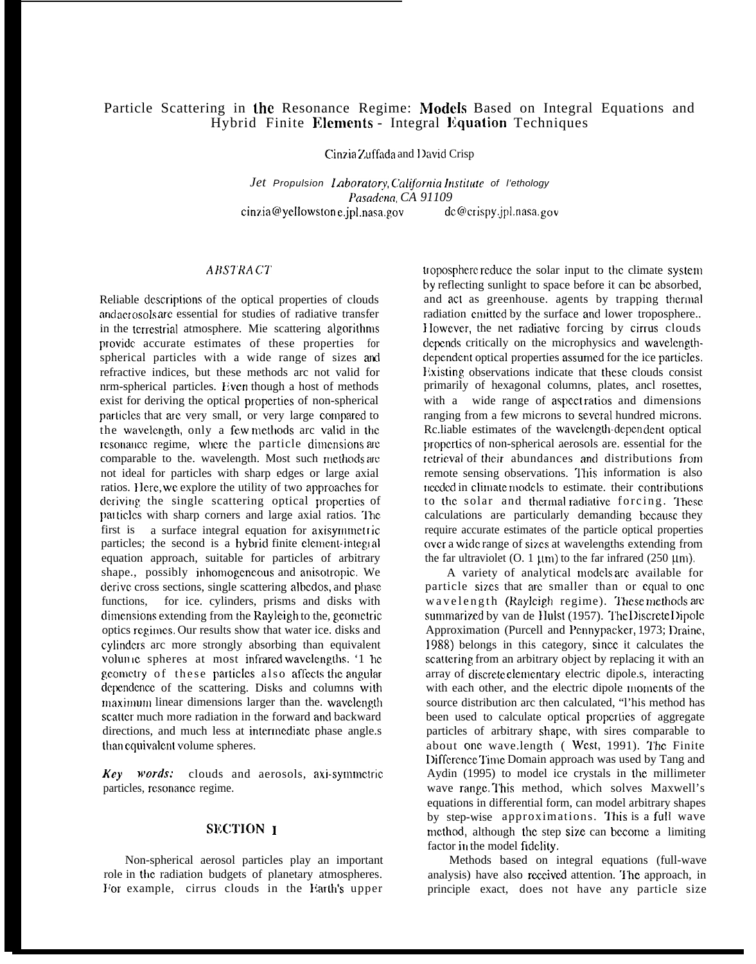# Particle Scattering in the Resonance Regime: Models Based on Integral Equations and Hybrid Finite Elements - Integral Equation Techniques

Cinzia Zuffada and David Crisp

Jet Propulsion Laboratory, California Institute of l'ethology Pasadena CA 91109 cinzia@yellowstone.jpl.nasa.gov  $dc@crispy.jpl.nasa.gov$ 

### **ABSTRACT**

Reliable descriptions of the optical properties of clouds and acrosols are essential for studies of radiative transfer in the terrestrial atmosphere. Mie scattering algorithms provide accurate estimates of these properties for spherical particles with a wide range of sizes and refractive indices, but these methods arc not valid for nrm-spherical particles. Even though a host of methods exist for deriving the optical properties of non-spherical particles that are very small, or very large compared to the wavelength, only a few methods are valid in the resonance regime, where the particle dimensions are comparable to the. wavelength. Most such methods are not ideal for particles with sharp edges or large axial ratios. Here, we explore the utility of two approaches for deriving the single scattering optical properties of particles with sharp corners and large axial ratios. The first is a surface integral equation for axisymmetric particles; the second is a hybrid finite element-integral equation approach, suitable for particles of arbitrary shape., possibly inhomogeneous and anisotropic. We derive cross sections, single scattering albedos, and phase functions, for ice. cylinders, prisms and disks with dimensions extending from the Rayleigh to the, geometric optics regimes. Our results show that water ice. disks and cylinders arc more strongly absorbing than equivalent volumic spheres at most infrared wavelengths. '1 he geometry of these particles also affects the angular dependence of the scattering. Disks and columns with maximum linear dimensions larger than the. wavelength scatter much more radiation in the forward and backward directions, and much less at intermediate phase angle.s than equivalent volume spheres.

Key words: clouds and aerosols, axi-symmetric particles, resonance regime.

## **SECTION 1**

Non-spherical aerosol particles play an important role in the radiation budgets of planetary atmospheres. For example, cirrus clouds in the Earth's upper

troposphere reduce the solar input to the climate system by reflecting sunlight to space before it can be absorbed, and act as greenhouse. agents by trapping thermal radiation emitted by the surface and lower troposphere... However, the net radiative forcing by cirrus clouds depends critically on the microphysics and wavelengthdependent optical properties assumed for the ice particles. Existing observations indicate that these clouds consist primarily of hexagonal columns, plates, ancl rosettes, with a wide range of aspectratios and dimensions ranging from a few microns to several hundred microns. Rc.liable estimates of the wavelength-dependent optical properties of non-spherical aerosols are. essential for the retrieval of their abundances and distributions from remote sensing observations. This information is also needed in climate models to estimate, their contributions to the solar and thermal radiative forcing. These calculations are particularly demanding because they require accurate estimates of the particle optical properties over a wide range of sizes at wavelengths extending from the far ultraviolet (O. 1  $\mu$ m) to the far infrared (250  $\mu$ m).

A variety of analytical models are available for particle sizes that are smaller than or equal to one wavelength (Rayleigh regime). These methods are summarized by van de Hulst (1957). The Discrete Dipole Approximation (Purcell and Pennypacker, 1973; Draine, 1988) belongs in this category, since it calculates the scattering from an arbitrary object by replacing it with an array of discrete elementary electric dipole.s, interacting with each other, and the electric dipole moments of the source distribution arc then calculated, "l'his method has been used to calculate optical properties of aggregate particles of arbitrary shape, with sires comparable to about one wave.length ( West, 1991). The Finite Difference Time Domain approach was used by Tang and Aydin (1995) to model ice crystals in the millimeter wave range. This method, which solves Maxwell's equations in differential form, can model arbitrary shapes by step-wise approximations. This is a full wave method, although the step size can become a limiting factor in the model fidelity.

Methods based on integral equations (full-wave analysis) have also received attention. The approach, in principle exact, does not have any particle size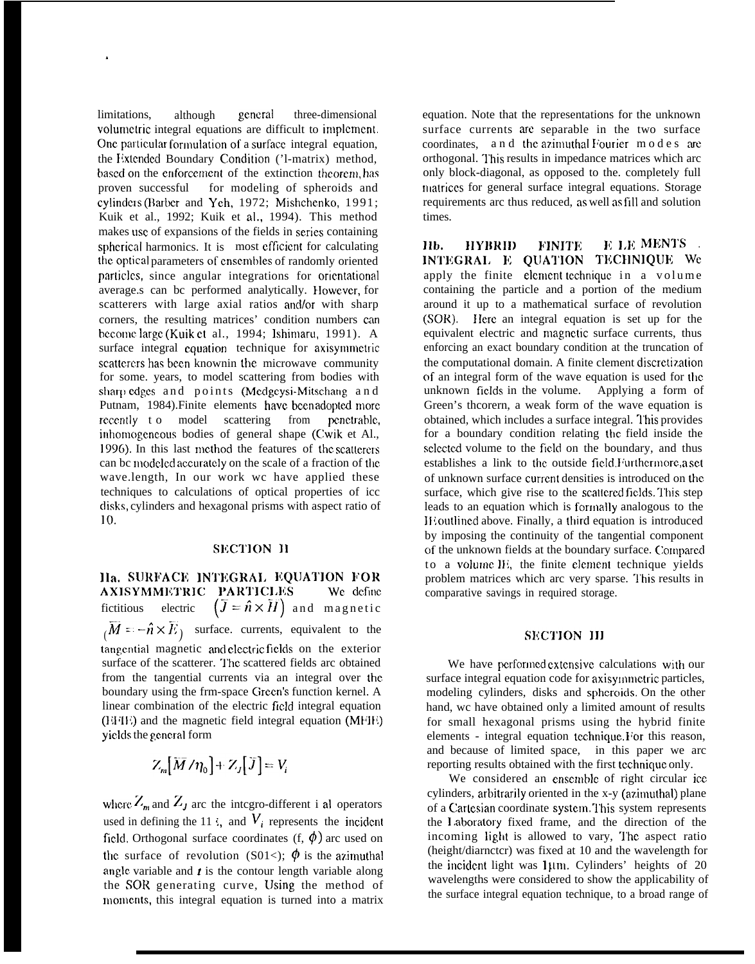limitations, although general three-dimensional volumetric integral equations are difficult to implement. One particular formulation of a surface integral equation, the Extended Boundary Condition ('1-matrix) method, based on the enforcement of the extinction theorem, has proven successful for modeling of spheroids and cylinders (Barber and Yeh, 1972; Mishchenko, 1991; Kuik et al., 1992; Kuik et al., 1994). This method makes use of expansions of the fields in series containing spherical harmonics. It is most efficient for calculating the optical parameters of ensembles of randomly oriented particles, since angular integrations for orientational average.s can bc performed analytically. However, for scatterers with large axial ratios and/or with sharp corners, the resulting matrices' condition numbers can become large (Kuik et al., 1994; Ishimaru, 1991). A surface integral equation technique for axisymmetric scatterers has been known in the microwave community for some. years, to model scattering from bodies with sharp edges and points (Medgeysi-Mitschang and Putnam, 1984). Finite elements have been adopted more recently to model scattering from penetrable, inhomogeneous bodies of general shape (Cwik et Al., 1996). In this last method the features of the scatterers can be modeled accurately on the scale of a fraction of the wave.length, In our work wc have applied these techniques to calculations of optical properties of icc disks, cylinders and hexagonal prisms with aspect ratio of 10.

### **SECTION II**

Ha. SURFACE INTEGRAL EQUATION FOR AXISYMMETRIC PARTICLES We define fictitious electric  $(\bar{J} = \hat{n} \times \bar{H})$  and magnetic  $\overline{M} = -\hat{n} \times \overline{E}_1$  surface. currents, equivalent to the tangential magnetic and electric fields on the exterior surface of the scatterer. The scattered fields arc obtained from the tangential currents via an integral over the boundary using the frm-space Green's function kernel. A linear combination of the electric field integral equation (EFIE) and the magnetic field integral equation (MFIE) yields the general form

$$
Z_m[\overline{M}/\eta_0]+Z_J[\overline{J}]=V_i
$$

where  $Z_m$  and  $Z_J$  are the integro-different i al operators used in defining the 11 i, and  $V_i$  represents the incident field, Orthogonal surface coordinates  $(f, \phi)$  arc used on the surface of revolution (S01<);  $\phi$  is the azimuthal angle variable and  $t$  is the contour length variable along the SOR generating curve, Using the method of moments, this integral equation is turned into a matrix equation. Note that the representations for the unknown surface currents are separable in the two surface coordinates, and the azimuthal Fourier modes are orthogonal. This results in impedance matrices which arc only block-diagonal, as opposed to the. completely full matrices for general surface integral equations. Storage requirements arc thus reduced, as well as fill and solution times.

E LE MENTS . **HYBRID** IIb. **FINITE** INTEGRAL E QUATION TECHNIQUE We apply the finite element technique in a volume containing the particle and a portion of the medium around it up to a mathematical surface of revolution (SOR). Here an integral equation is set up for the equivalent electric and magnetic surface currents, thus enforcing an exact boundary condition at the truncation of the computational domain. A finite clement discretization of an integral form of the wave equation is used for the unknown fields in the volume. Applying a form of Green's theorem, a weak form of the wave equation is obtained, which includes a surface integral. This provides for a boundary condition relating the field inside the selected volume to the field on the boundary, and thus establishes a link to the outside field Furthermore, a set of unknown surface current densities is introduced on the surface, which give rise to the scattered fields. This step leads to an equation which is formally analogous to the IE outlined above. Finally, a third equation is introduced by imposing the continuity of the tangential component of the unknown fields at the boundary surface. Compared to a volume II, the finite element technique yields problem matrices which arc very sparse. This results in comparative savings in required storage.

#### **SECTION III**

We have performed extensive calculations with our surface integral equation code for axisymmetric particles, modeling cylinders, disks and spheroids. On the other hand, we have obtained only a limited amount of results for small hexagonal prisms using the hybrid finite elements - integral equation technique. For this reason, and because of limited space, in this paper we arc reporting results obtained with the first technique only.

We considered an ensemble of right circular ice cylinders, arbitrarily oriented in the x-y (azimuthal) plane of a Cartesian coordinate system. This system represents the Laboratory fixed frame, and the direction of the incoming light is allowed to vary, The aspect ratio (height/diarnctcr) was fixed at 10 and the wavelength for the incident light was 1µm. Cylinders' heights of 20 wavelengths were considered to show the applicability of the surface integral equation technique, to a broad range of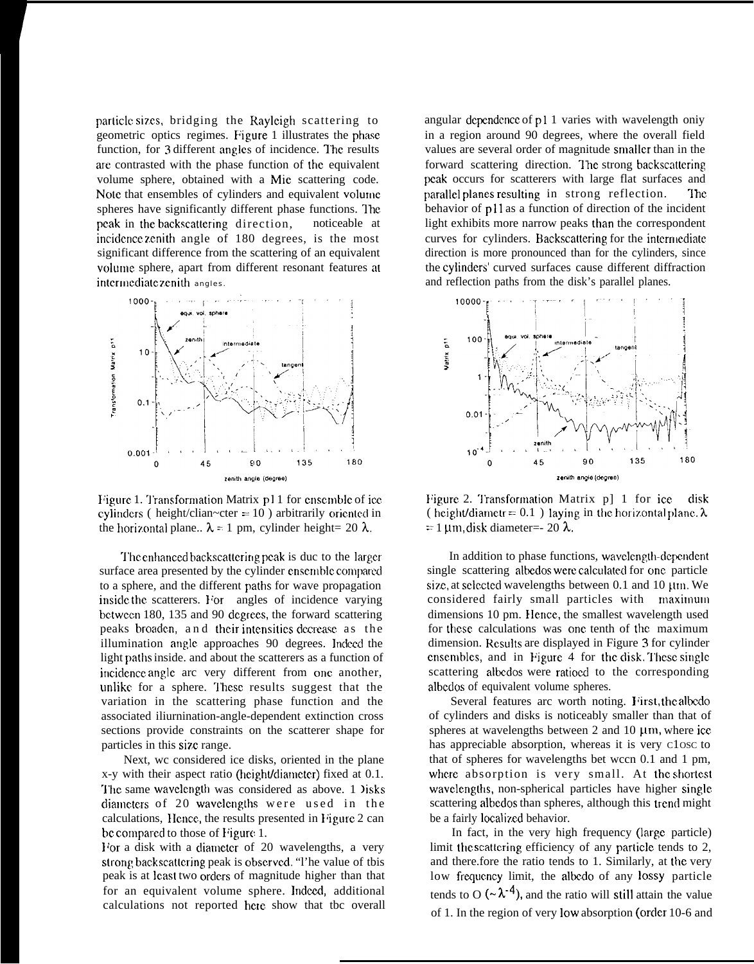particle sizes, bridging the Rayleigh scattering to geometric optics regimes. Figure 1 illustrates the phase function, for 3 different angles of incidence. The results arc contrasted with the phase function of the equivalent volume sphere, obtained with a Mie scattering code. Note that ensembles of cylinders and equivalent volurnc. spheres have significantly different phase functions. The peak in the backscattering direction, noticeable at incidence zenith angle of 180 degrees, is the most significant difference from the scattering of an equivalent volume sphere, apart from different resonant features at intermediate zenith angles.



Figure 1. Transformation Matrix  $p11$  for ensemble of ice cylinders ( height/clian~cter =  $10$  ) arbitrarily oriented in the horizontal plane..  $\lambda = 1$  pm, cylinder height= 20  $\lambda$ .

The enhanced backscattering peak is duc to the larger. surface area presented by the cylinder ensemble compared to a sphere, and the different paths for wave propagation inside the scatterers. For angles of incidence varying bctween 180, 135 and 90 degrees, the forward scattering peaks broaden, and their intensities decrease as the illumination angle approaches 90 degrees. Indeed the light paths inside. and about the scatterers as a function of incidence angle arc very different from one another, unlike for a sphere. These results suggest that the variation in the scattering phase function and the associated iliurnination-angle-dependent extinction cross sections provide constraints on the scatterer shape for particles in this size range.

Next, wc considered ice disks, oriented in the plane x-y with their aspect ratio (height/diameter) fixed at 0.1. The same wavelength was considered as above. 1 lisks diameters of 20 wavelengths were used in the calculations, Hence, the results presented in Figure 2 can be compared to those of Figure 1.

For a disk with a diameter of 20 wavelengths, a very strong backscattering peak is observed. "I' he value of this peak is at least two orders of magnitude higher than that for an equivalent volume sphere. Indeed, additional calculations not reported berc show that tbc overall

angular dcpcndcnce of pl 1 varies with wavelength oniy in a region around 90 degrees, where the overall field values are several order of magnitude smaller than in the forward scattering direction. The strong backscattering peak occurs for scatterers with large flat surfaces and parallel planes resulting in strong reflection. The behavior of p11 as a function of direction of the incident light exhibits more narrow peaks than the correspondent curves for cylinders. Backscattering for the intermediate direction is more pronounced than for the cylinders, since the cyiindcrs' curved surfaces cause different diffraction and reflection paths from the disk's parallel planes.



Figure 2. Transformation Matrix  $p$ ] 1 for ice disk ( height/diametr = 0.1) laying in the horizontal plane.  $\lambda$  $= 1$  um, disk diameter=- 20  $\lambda$ .

In addition to phase functions, wavelength-dependent single scattering albedos were calculated for one particle size, at selected wavelengths between  $0.1$  and  $10 ~\mu m$ . We considered fairly small particles with maximum dimensions 10 pm. Hence, the smallest wavelength used for these calculations was one tenth of the maximum dimension. Results are displayed in Figure 3 for cylinder ensembles, and in Figure 4 for the disk. These single scattering albedos were ratioed to the corresponding albcdos of equivalent volume spheres.

Several features arc worth noting. First, the albedo of cylinders and disks is noticeably smaller than that of spheres at wavelengths between  $2$  and  $10 ~\mu$ m, where ice has appreciable absorption, whereas it is very C1OSC to that of spheres for wavelengths bet wccn 0.1 and 1 pm, where absorption is very small. At the shortest wavelengths, non-spherical particles have higher single scattering albedos than spheres, although this trend might be a fairly localized behavior.

In fact, in the very high frequency (large particle) limit the scattering efficiency of any particle tends to 2, and there.fore the ratio tends to 1. Similarly, at the very low frequency limit, the albedo of any lossy particle tends to O ( $\sim \lambda^{-4}$ ), and the ratio will still attain the value of 1. In the region of very low absorption (order 10-6 and